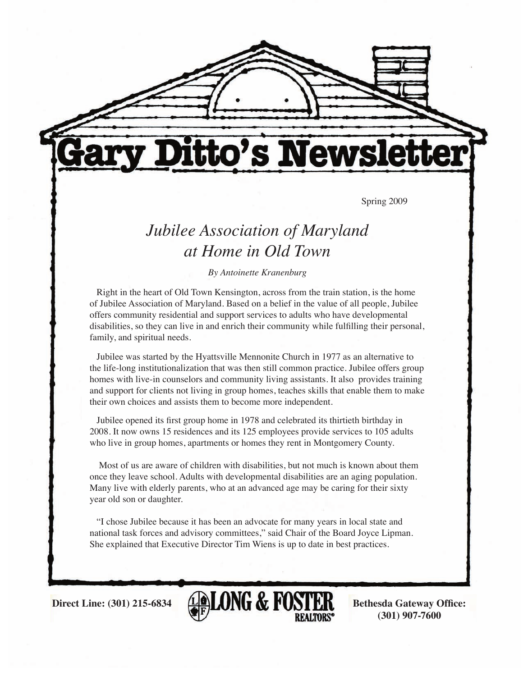

itto's Newsl

Spring 2009

# *Jubilee Association of Maryland at Home in Old Town*

*By Antoinette Kranenburg*

 Right in the heart of Old Town Kensington, across from the train station, is the home of Jubilee Association of Maryland. Based on a belief in the value of all people, Jubilee offers community residential and support services to adults who have developmental disabilities, so they can live in and enrich their community while fulfilling their personal, family, and spiritual needs.

 Jubilee was started by the Hyattsville Mennonite Church in 1977 as an alternative to the life-long institutionalization that was then still common practice. Jubilee offers group homes with live-in counselors and community living assistants. It also provides training and support for clients not living in group homes, teaches skills that enable them to make their own choices and assists them to become more independent.

 Jubilee opened its first group home in 1978 and celebrated its thirtieth birthday in 2008. It now owns 15 residences and its 125 employees provide services to 105 adults who live in group homes, apartments or homes they rent in Montgomery County.

 Most of us are aware of children with disabilities, but not much is known about them once they leave school. Adults with developmental disabilities are an aging population. Many live with elderly parents, who at an advanced age may be caring for their sixty year old son or daughter.

 "I chose Jubilee because it has been an advocate for many years in local state and national task forces and advisory committees," said Chair of the Board Joyce Lipman. She explained that Executive Director Tim Wiens is up to date in best practices.



**(301) 907-7600**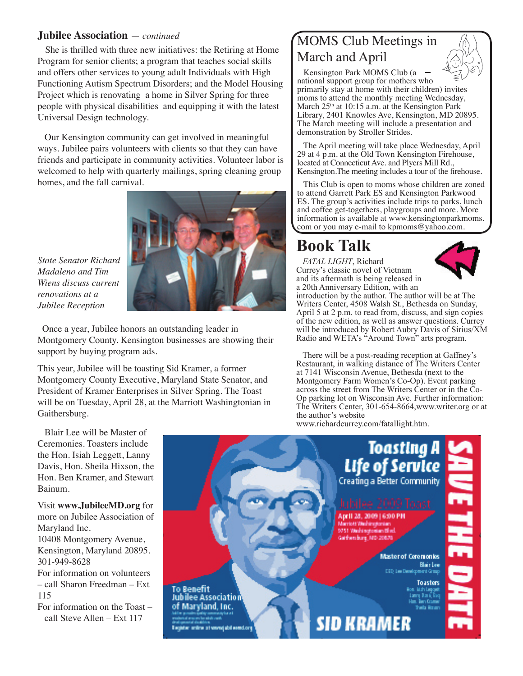#### **Jubilee Association** — *continued*

 She is thrilled with three new initiatives: the Retiring at Home Program for senior clients; a program that teaches social skills and offers other services to young adult Individuals with High Functioning Autism Spectrum Disorders; and the Model Housing Project which is renovating a home in Silver Spring for three people with physical disabilities and equipping it with the latest Universal Design technology.

 Our Kensington community can get involved in meaningful ways. Jubilee pairs volunteers with clients so that they can have friends and participate in community activities. Volunteer labor is welcomed to help with quarterly mailings, spring cleaning group homes, and the fall carnival.



*State Senator Richard Madaleno and Tim Wiens discuss current renovations at a Jubilee Reception*

 Once a year, Jubilee honors an outstanding leader in Montgomery County. Kensington businesses are showing their support by buying program ads.

This year, Jubilee will be toasting Sid Kramer, a former Montgomery County Executive, Maryland State Senator, and President of Kramer Enterprises in Silver Spring. The Toast will be on Tuesday, April 28, at the Marriott Washingtonian in Gaithersburg.

## MOMS Club Meetings in March and April



 Kensington Park MOMS Club (a national support group for mothers who primarily stay at home with their children) invites moms to attend the monthly meeting Wednesday, March  $25<sup>th</sup>$  at 10:15 a.m. at the Kensington Park Library, 2401 Knowles Ave, Kensington, MD 20895. The March meeting will include a presentation and demonstration by Stroller Strides.

 The April meeting will take place Wednesday, April 29 at 4 p.m. at the Old Town Kensington Firehouse, located at Connecticut Ave. and Plyers Mill Rd., Kensington.The meeting includes a tour of the firehouse.

 This Club is open to moms whose children are zoned to attend Garrett Park ES and Kensington Parkwood ES. The group's activities include trips to parks, lunch and coffee get-togethers, playgroups and more. More information is available at www.kensingtonparkmoms. com or you may e-mail to kpmoms@yahoo.com.

# **Book Talk**

 *FATAL LIGHT*, Richard Currey's classic novel of Vietnam and its aftermath is being released in a 20th Anniversary Edition, with an



introduction by the author. The author will be at The Writers Center, 4508 Walsh St., Bethesda on Sunday, April 5 at 2 p.m. to read from, discuss, and sign copies of the new edition, as well as answer questions. Currey will be introduced by Robert Aubry Davis of Sirius/XM Radio and WETA's "Around Town" arts program.

 There will be a post-reading reception at Gaffney's Restaurant, in walking distance of The Writers Center at 7141 Wisconsin Avenue, Bethesda (next to the Montgomery Farm Women's Co-Op). Event parking across the street from The Writers Center or in the Co-Op parking lot on Wisconsin Ave. Further information: The Writers Center, 301-654-8664,www.writer.org or at the author's website www.richardcurrey.com/fatallight.htm.

 Blair Lee will be Master of Ceremonies. Toasters include the Hon. Isiah Leggett, Lanny Davis, Hon. Sheila Hixson, the Hon. Ben Kramer, and Stewart Bainum.

Visit **www.JubileeMD.org** for more on Jubilee Association of Maryland Inc. 10408 Montgomery Avenue, Kensington, Maryland 20895. 301-949-8628 For information on volunteers – call Sharon Freedman – Ext 115 For information on the Toast – call Steve Allen – Ext 117

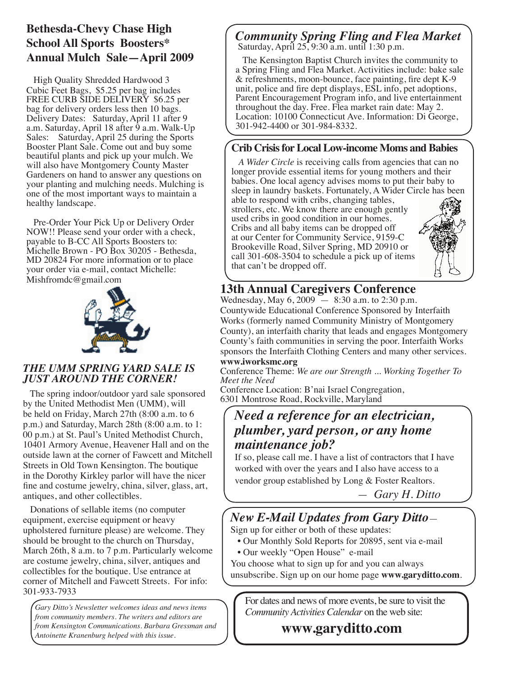#### **Bethesda-Chevy Chase High School All Sports Boosters\* Annual Mulch Sale—April 2009**

 High Quality Shredded Hardwood 3 Cubic Feet Bags, \$5.25 per bag includes FREE CURB SIDE DELIVERY \$6.25 per bag for delivery orders less then 10 bags. Delivery Dates: Saturday, April 11 after 9 a.m. Saturday, April 18 after  $\overline{9}$  a.m. Walk-Up Sales: Saturday, April 25 during the Sports Booster Plant Sale. Come out and buy some beautiful plants and pick up your mulch. We will also have Montgomery County Master Gardeners on hand to answer any questions on your planting and mulching needs. Mulching is one of the most important ways to maintain a healthy landscape.

 Pre-Order Your Pick Up or Delivery Order NOW!! Please send your order with a check, payable to B-CC All Sports Boosters to: Michelle Brown - PO Box 30205 - Bethesda, MD 20824 For more information or to place your order via e-mail, contact Michelle: Mishfromdc@gmail.com



#### *THE UMM SPRING YARD SALE IS JUST AROUND THE CORNER!*

 The spring indoor/outdoor yard sale sponsored by the United Methodist Men (UMM), will be held on Friday, March 27th (8:00 a.m. to 6 p.m.) and Saturday, March 28th (8:00 a.m. to 1: 00 p.m.) at St. Paul's United Methodist Church, 10401 Armory Avenue, Heavener Hall and on the outside lawn at the corner of Fawcett and Mitchell Streets in Old Town Kensington. The boutique in the Dorothy Kirkley parlor will have the nicer fine and costume jewelry, china, silver, glass, art, antiques, and other collectibles.

 Donations of sellable items (no computer equipment, exercise equipment or heavy upholstered furniture please) are welcome. They should be brought to the church on Thursday, March 26th, 8 a.m. to 7 p.m. Particularly welcome are costume jewelry, china, silver, antiques and collectibles for the boutique. Use entrance at corner of Mitchell and Fawcett Streets. For info: 301-933-7933

*Gary Ditto's Newsletter welcomes ideas and news items from community members. The writers and editors are from Kensington Communications. Barbara Gressman and Antoinette Kranenburg helped with this issue.* 

## *Community Spring Fling and Flea Market*

Saturday, April 25, 9:30 a.m. until 1:30 p.m.

 The Kensington Baptist Church invites the community to a Spring Fling and Flea Market. Activities include: bake sale & refreshments, moon-bounce, face painting, fire dept K-9 unit, police and fire dept displays, ESL info, pet adoptions, Parent Encouragement Program info, and live entertainment throughout the day. Free. Flea market rain date: May 2. Location: 10100 Connecticut Ave. Information: Di George, 301-942-4400 or 301-984-8332.

#### **Crib Crisis for Local Low-income Moms and Babies**

 *A Wider Circle* is receiving calls from agencies that can no longer provide essential items for young mothers and their babies. One local agency advises moms to put their baby to sleep in laundry baskets. Fortunately, A Wider Circle has been

able to respond with cribs, changing tables, strollers, etc. We know there are enough gently used cribs in good condition in our homes. Cribs and all baby items can be dropped off at our Center for Community Service, 9159-C Brookeville Road, Silver Spring, MD 20910 or call 301-608-3504 to schedule a pick up of items that can't be dropped off.



## **13th Annual Caregivers Conference**

Wednesday, May 6, 2009 — 8:30 a.m. to 2:30 p.m. Countywide Educational Conference Sponsored by Interfaith Works (formerly named Community Ministry of Montgomery County), an interfaith charity that leads and engages Montgomery County's faith communities in serving the poor. Interfaith Works sponsors the Interfaith Clothing Centers and many other services. **www.iworksmc.org**

Conference Theme: *We are our Strength ... Working Together To Meet the Need*

Conference Location: B'nai Israel Congregation, 6301 Montrose Road, Rockville, Maryland

## *Need a reference for an electrician, plumber, yard person, or any home maintenance job?*

If so, please call me. I have a list of contractors that I have worked with over the years and I also have access to a vendor group established by Long & Foster Realtors.

 *— Gary H. Ditto*

## *New E-Mail Updates from Gary Ditto*—

Sign up for either or both of these updates:

- Our Monthly Sold Reports for 20895, sent via e-mail
- Our weekly "Open House" e-mail
- You choose what to sign up for and you can always
- unsubscribe. Sign up on our home page **www.garyditto.com**.

For dates and news of more events, be sure to visit the *Community Activities Calendar* on the web site:

 **www.garyditto.com**